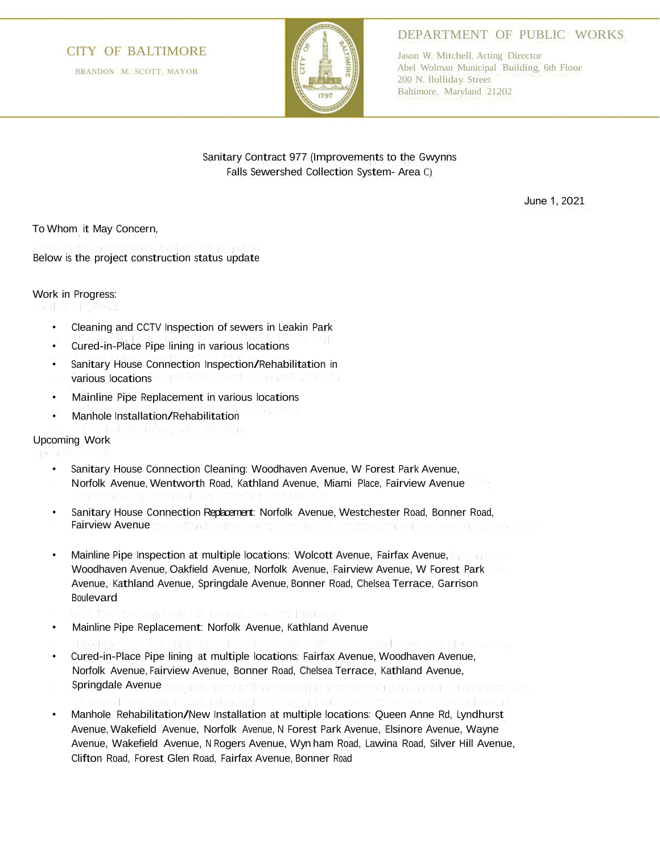## CITY OF BALTIMORE

BRANDON M. SCOTT, MAYOR



## DEPARTMENT OF PUBLIC WORKS

Jason W. Mitchell, Acting Director Abel Wolman Municipal Building, 6th Floor 200 N. llolliday Street Baltimore, Maryland 21202

Sanitary Contract <sup>977</sup> (Improvements to the Gwynns Falls Sewershed Collection System- Area C)

June 1, 2021

To Whom it May Concern,

Below is the project construction status update

Work in Progress:

- Cleaning and CCTV Inspection of sewers in Leakin Park
- Cured-in-Place Pipe lining in various locations
- Sanitary House Connection Inspection/Rehabilitation in various locations **various** and the contract of the contract of the contract of the contract of the contract of the contract of the contract of the contract of the contract of the contract of the contract of the contract o
- Mainline Pipe Replacement in various locations
- Manhole Installation/Rehabilitation

## Upcoming Work

- - Sanitary House Connection Cleaning: Woodhaven Avenue, <sup>W</sup> Forest Park Avenue, Norfolk Avenue, Wentworth Road, Kathland Avenue, Miami Place, Fairview Avenue e landi a va
	- Sanitary House Connection Replacement: Norfolk Avenue, Westchester Road, Bonner Road,
	- Fairview Avenue (production in the fact of the contract of the contract of the contract of the contract of the
	- Mainline Pipe Inspection at multiple locations: Wolcott Avenue, Fairfax Avenue, Fairmannee, Fairmannee, Fairman Woodhaven Avenue, Oakfield Avenue, Norfolk Avenue, Fairview Avenue, W Forest Park Avenue, Kathland Avenue, Springdale Avenue, Bonner Road, Chelsea Terrace, Garrison Boulevard
	- Mainline Pipe Replacement: Norfolk Avenue, Kathland Avenue
	-
	- Cured-in-Place Pipe lining at multiple locations: Fairfax Avenue, Woodhaven Avenue,
	- Norfolk Avenue, Fairview Avenue, Bonner Road, Chelsea Terrace, Kathland Avenue,
	- Springdale Avenue waar procedure als stages and that patential of party finally buildings and the stages of
	- Manhole Rehabilitation/New Installation at multiple locations: Queen Anne Rd, Lyndhurst Avenue, Wakefield Avenue, Norfolk Avenue, N Forest Park Avenue, Elsinore Avenue, Wayne Avenue, Wakefield Avenue, N Rogers Avenue, Wyn ham Road, Lawina Road, Silver Hill Avenue, Clifton Road, Forest Glen Road, Fairfax Avenue, Bonner Road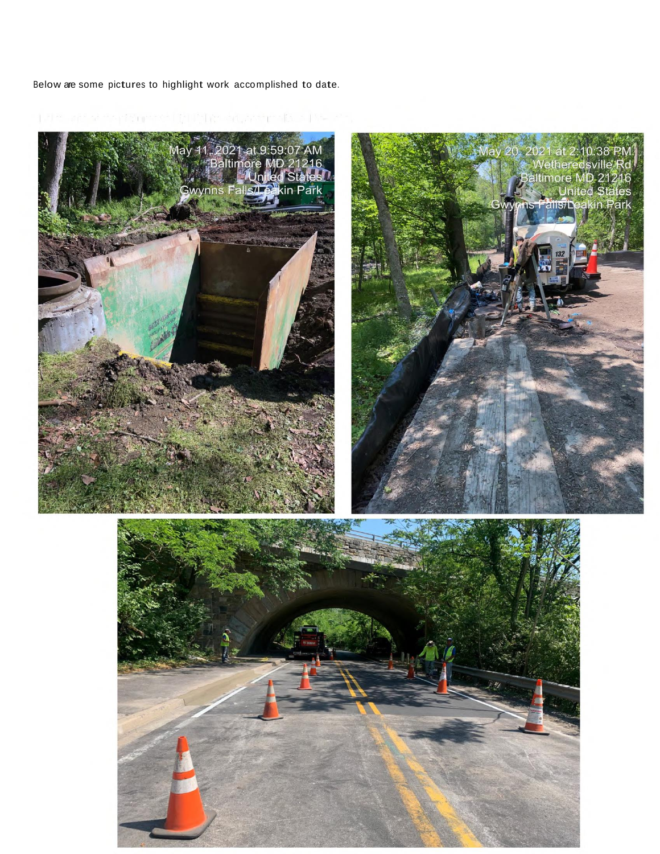Below are some pictures to highlight work accomplished to date.